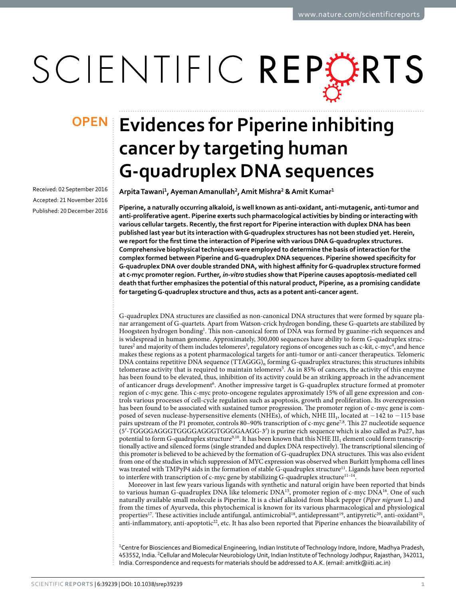# SCIENTIFIC REPERTS

Received: 02 September 2016 Accepted: 21 November 2016 Published: 20 December 2016

## **Evidences for Piperine inhibiting OPENcancer by targeting human G-quadruplex DNA sequences**

**Arpita Tawani<sup>1</sup> , Ayeman Amanullah<sup>2</sup> , Amit Mishra<sup>2</sup> & Amit Kumar<sup>1</sup>**

**Piperine, a naturally occurring alkaloid, is well known as anti-oxidant, anti-mutagenic, anti-tumor and anti-proliferative agent. Piperine exerts such pharmacological activities by binding or interacting with various cellular targets. Recently, the first report for Piperine interaction with duplex DNA has been published last year but its interaction with G-quadruplex structures has not been studied yet. Herein, we report for the first time the interaction of Piperine with various DNA G-quadruplex structures. Comprehensive biophysical techniques were employed to determine the basis of interaction for the complex formed between Piperine and G-quadruplex DNA sequences. Piperine showed specificity for G-quadruplex DNA over double stranded DNA, with highest affinity for G-quadruplex structure formed at c-myc promoter region. Further,** *in-vitro* **studies show that Piperine causes apoptosis-mediated cell death that further emphasizes the potential of this natural product, Piperine, as a promising candidate for targeting G-quadruplex structure and thus, acts as a potent anti-cancer agent.**

G-quadruplex DNA structures are classified as non-canonical DNA structures that were formed by square planar arrangement of G-quartets. Apart from Watson-crick hydrogen bonding, these G-quartets are stabilized by Hoogsteen hydrogen bonding<sup>[1](#page-9-0)</sup>. This non-canonical form of DNA was formed by guanine-rich sequences and is widespread in human genome. Approximately, 300,000 sequences have ability to form G-quadruplex struc-tures<sup>[2](#page-9-1)</sup> and majority of them includes telomeres<sup>[3](#page-9-2)</sup>, regulatory regions of oncogenes such as c-kit, c-myc<sup>[4](#page-9-3)</sup>, and hence makes these regions as a potent pharmacological targets for anti-tumor or anti-cancer therapeutics. Telomeric DNA contains repetitive DNA sequence  $(TTAGG)_n$  forming G-quadruplex structures; this structures inhibits telomerase activity that is required to maintain telomeres<sup>[5](#page-9-4)</sup>. As in 85% of cancers, the activity of this enzyme has been found to be elevated, thus, inhibition of its activity could be an striking approach in the advancement of anticancer drugs development<sup>[6](#page-9-5)</sup>. Another impressive target is G-quadruplex structure formed at promoter region of c-myc gene. This c-myc proto-oncogene regulates approximately 15% of all gene expression and controls various processes of cell-cycle regulation such as apoptosis, growth and proliferation. Its overexpression has been found to be associated with sustained tumor progression. The promoter region of c-myc gene is composed of seven nuclease-hypersensitive elements (NHEs), of which, NHE III<sub>1</sub>, located at −142 to −115 base pairs upstream of the P1 promoter, controls 80–90% transcription of c-myc gene<sup>[7](#page-9-6)[,8](#page-9-7)</sup>. This 27 nucleotide sequence (5′ -TGGGGAGGGTGGGGAGGGTGGGGAAGG-3′ ) is purine rich sequence which is also called as Pu27, has potential to form G-quadruplex structure $^{9,10}$  $^{9,10}$  $^{9,10}$  $^{9,10}$ . It has been known that this NHE III<sub>1</sub> element could form transcriptionally active and silenced forms (single stranded and duplex DNA respectively). The transcriptional silencing of this promoter is believed to be achieved by the formation of G-quadruplex DNA structures. This was also evident from one of the studies in which suppression of MYC expression was observed when Burkitt lymphoma cell lines was treated with TMPyP4 aids in the formation of stable G-quadruplex structure<sup>[11](#page-9-10)</sup>. Ligands have been reported to interfere with transcription of c-myc gene by stabilizing G-quadruplex structure<sup>11-14</sup>.

Moreover in last few years various ligands with synthetic and natural origin have been reported that binds to various human G-quadruplex DNA like telomeric DNA<sup>[15](#page-9-11)</sup>, promoter region of c-myc DNA<sup>[16](#page-9-12)</sup>. One of such naturally available small molecule is Piperine. It is a chief alkaloid from black pepper (Piper nigrum L.) and from the times of Ayurveda, this phytochemical is known for its various pharmacological and physiological properties<sup>[17](#page-9-13)</sup>. These activities include antifungal, antimicrobial<sup>[18](#page-9-14)</sup>, antidepressant<sup>[19](#page-9-15)</sup>, antipyretic<sup>[20](#page-9-16)</sup>, anti-oxidant<sup>[21](#page-9-17)</sup>, anti-inflammatory, anti-apoptotic<sup>[22](#page-9-18)</sup>, etc. It has also been reported that Piperine enhances the bioavailability of

<sup>1</sup>Centre for Biosciences and Biomedical Engineering, Indian Institute of Technology Indore, Indore, Madhya Pradesh, 453552, India. <sup>2</sup>Cellular and Molecular Neurobiology Unit, Indian Institute of Technology Jodhpur, Rajasthan, 342011, India. Correspondence and requests for materials should be addressed to A.K. (email: [amitk@iiti.ac.in\)](mailto:amitk@iiti.ac.in)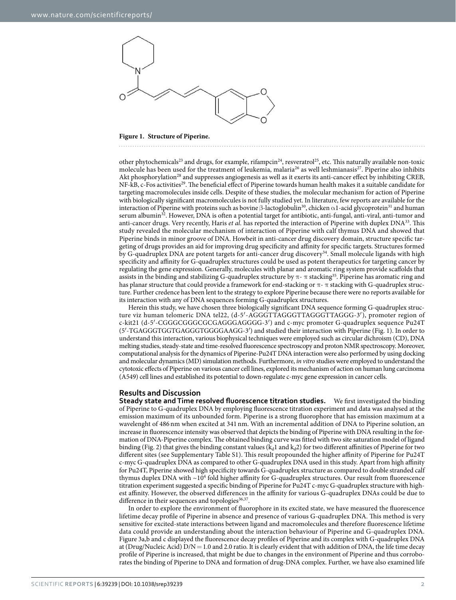

<span id="page-1-0"></span>**Figure 1. Structure of Piperine.** 

other phytochemicals<sup>[23](#page-10-0)</sup> and drugs, for example, rifampcin<sup>[24](#page-10-1)</sup>, resveratrol<sup>[25](#page-10-2)</sup>, etc. This naturally available non-toxic molecule has been used for the treatment of leukemia, malaria<sup>[26](#page-10-3)</sup> as well leshmianasis<sup>[27](#page-10-4)</sup>. Piperine also inhibits Akt phosphorylation<sup>[28](#page-10-5)</sup> and suppresses angiogenesis as well as it exerts its anti-cancer effect by inhibiting CREB, NF-kB, c-Fos activities<sup>[29](#page-10-6)</sup>. The beneficial effect of Piperine towards human health makes it a suitable candidate for targeting macromolecules inside cells. Despite of these studies, the molecular mechanism for action of Piperine with biologically significant macromolecules is not fully studied yet. In literature, few reports are available for the interaction of Piperine with proteins such as bovine β-lactoglobulin<sup>[30](#page-10-7)</sup>, chicken α1-acid glycoprotein<sup>[31](#page-10-8)</sup> and human serum albumin<sup>[32](#page-10-9)</sup>. However, DNA is often a potential target for antibiotic, anti-fungal, anti-viral, anti-tumor and anti-cancer drugs. Very recently, Haris et al. has reported the interaction of Piperine with duplex DNA<sup>[33](#page-10-10)</sup>. This study revealed the molecular mechanism of interaction of Piperine with calf thymus DNA and showed that Piperine binds in minor groove of DNA. Howbeit in anti-cancer drug discovery domain, structure specific targeting of drugs provides an aid for improving drug specificity and affinity for specific targets. Structures formed by G-quadruplex DNA are potent targets for anti-cancer drug discovery<sup>[34](#page-10-11)</sup>. Small molecule ligands with high specificity and affinity for G-quadruplex structures could be used as potent therapeutics for targeting cancer by regulating the gene expression. Generally, molecules with planar and aromatic ring system provide scaffolds that assists in the binding and stabilizing G-quadruplex structure by  $\pi$ - $\pi$  stacking<sup>[35](#page-10-12)</sup>. Piperine has aromatic ring and has planar structure that could provide a framework for end-stacking or  $\pi$ - $\pi$  stacking with G-quadruplex structure. Further credence has been lent to the strategy to explore Piperine because there were no reports available for its interaction with any of DNA sequences forming G-quadruplex structures.

Herein this study, we have chosen three biologically significant DNA sequence forming G-quadruplex structure viz human telomeric DNA tel22, (d-5′ -AGGGTTAGGGTTAGGGTTAGGG-3′ ), promoter region of c-kit21 (d-5′ -CGGGCGGGCGCGAGGGAGGGG-3′ ) and c-myc promoter G-quadruplex sequence Pu24T (5′ -TGAGGGTGGTGAGGGTGGGGAAGG-3′ ) and studied their interaction with Piperine [\(Fig. 1\)](#page-1-0). In order to understand this interaction, various biophysical techniques were employed such as circular dichroism (CD), DNA melting studies, steady-state and time-resolved fluorescence spectroscopy and proton NMR spectroscopy. Moreover, computational analysis for the dynamics of Piperine-Pu24T DNA interaction were also performed by using docking and molecular dynamics (MD) simulation methods. Furthermore, in vitro studies were employed to understand the cytotoxic effects of Piperine on various cancer cell lines, explored its mechanism of action on human lung carcinoma (A549) cell lines and established its potential to down-regulate c-myc gene expression in cancer cells.

#### **Results and Discussion**

**Steady state and Time resolved fluorescence titration studies.** We first investigated the binding of Piperine to G-quadruplex DNA by employing fluorescence titration experiment and data was analysed at the emission maximum of its unbounded form. Piperine is a strong fluorophore that has emission maximum at a wavelenght of 486 nm when excited at 341 nm. With an incremental addition of DNA to Piperine solution, an increase in fluorescence intensity was observed that depicts the binding of Piperine with DNA resulting in the formation of DNA-Piperine complex. The obtained binding curve was fitted with two site saturation model of ligand binding [\(Fig. 2](#page-2-0)) that gives the binding constant values ( $k_d1$  and  $k_d2$ ) for two different affinities of Piperine for two different sites (see Supplementary Table S1). This result propounded the higher affinity of Piperine for Pu24T c-myc G-quadruplex DNA as compared to other G-quadruplex DNA used in this study. Apart from high affinity for Pu24T, Piperine showed high specificity towards G-quadruplex structure as compared to double stranded calf thymus duplex DNA with ~10<sup>4</sup> fold higher affinity for G-quadruplex structures. Our result from fluorescence titration experiment suggested a specific binding of Piperine for Pu24T c-myc G-quadruplex structure with highest affinity. However, the observed differences in the affinity for various G-quadruplex DNAs could be due to difference in their sequences and topologies<sup>[36](#page-10-13),[37](#page-10-14)</sup>.

In order to explore the environment of fluorophore in its excited state, we have measured the fluorescence lifetime decay profile of Piperine in absence and presence of various G-quadruplex DNA. This method is very sensitive for excited-state interactions between ligand and macromolecules and therefore fluorescence lifetime data could provide an understanding about the interaction behaviour of Piperine and G-quadruplex DNA. [Figure 3a,b and c](#page-2-1) displayed the fluorescence decay profiles of Piperine and its complex with G-quadruplex DNA at (Drug/Nucleic Acid)  $D/N = 1.0$  and 2.0 ratio. It is clearly evident that with addition of DNA, the life time decay profile of Piperine is increased, that might be due to changes in the environment of Piperine and thus corroborates the binding of Piperine to DNA and formation of drug-DNA complex. Further, we have also examined life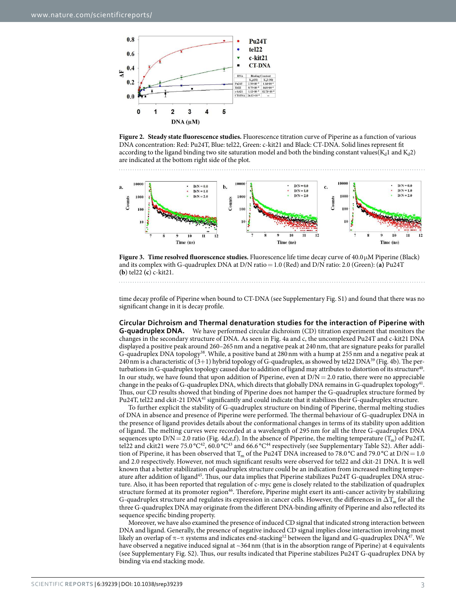

<span id="page-2-0"></span>



<span id="page-2-1"></span>**Figure 3. Time resolved fluorescence studies.** Fluorescence life time decay curve of 40.0 µ M Piperine (Black) and its complex with G-quadruplex DNA at D/N ratio = 1.0 (Red) and D/N ratio: 2.0 (Green): (**a)** Pu24T **(b**) tel22 **(c**) c-kit21.

time decay profile of Piperine when bound to CT-DNA (see Supplementary Fig. S1) and found that there was no significant change in it is decay profile.

**Circular Dichroism and Thermal denaturation studies for the interaction of Piperine with G-quadruplex DNA.** We have performed circular dichroism (CD) titration experiment that monitors the changes in the secondary structure of DNA. As seen in [Fig. 4a and c](#page-3-0), the uncomplexed Pu24T and c-kit21 DNA displayed a positive peak around 260–265 nm and a negative peak at 240 nm, that are signature peaks for parallel G-quadruplex DNA topology<sup>[38](#page-10-15)</sup>. While, a positive band at 280 nm with a hump at 255 nm and a negative peak at 240 nm is a characteristic of  $(3+1)$  hybrid topology of G-quadruplex, as showed by tel22 DNA<sup>[39](#page-10-16)</sup> [\(Fig. 4b](#page-3-0)). The per-turbations in G-quadruplex topology caused due to addition of ligand may attributes to distortion of its structure<sup>[40](#page-10-17)</sup>. In our study, we have found that upon addition of Piperine, even at  $D/N = 2.0$  ratio, there were no appreciable change in the peaks of G-quadruplex DNA, which directs that globally DNA remains in G-quadruplex topology<sup>[41](#page-10-18)</sup>. Thus, our CD results showed that binding of Piperine does not hamper the G-quadruplex structure formed by Pu24T, tel22 and ckit-21 DNA<sup>[41](#page-10-18)</sup> significantly and could indicate that it stabilizes their G-quadruplex structure.

To further explicit the stability of G-quadruplex structure on binding of Piperine, thermal melting studies of DNA in absence and presence of Piperine were performed. The thermal behaviour of G-quadruplex DNA in the presence of ligand provides details about the conformational changes in terms of its stability upon addition of ligand. The melting curves were recorded at a wavelength of 295 nm for all the three G-quadruplex DNA sequences upto  $D/N = 2.0$  ratio ([Fig. 4d,e,f\)](#page-3-0). In the absence of Piperine, the melting temperature (T<sub>m</sub>) of Pu24T, tel22 and ckit21 were 75.0 °C<sup>[42](#page-10-19)</sup>, 60.0 °C<sup>[43](#page-10-20)</sup> and 66.6 °C<sup>[44](#page-10-21)</sup> respectively (see Supplementary Table S2). After addition of Piperine, it has been observed that T<sub>m</sub> of the Pu24T DNA increased to 78.0 °C and 79.0 °C at D/N = 1.0 and 2.0 respectively. However, not much significant results were observed for tel22 and ckit-21 DNA. It is well known that a better stabilization of quadruplex structure could be an indication from increased melting temper-ature after addition of ligand<sup>[45](#page-10-22)</sup>. Thus, our data implies that Piperine stabilizes Pu24T G-quadruplex DNA structure. Also, it has been reported that regulation of c-myc gene is closely related to the stabilization of quadruplex structure formed at its promoter region<sup>[46](#page-10-23)</sup>. Therefore, Piperine might exert its anti-cancer activity by stabilizing G-quadruplex structure and regulates its expression in cancer cells. However, the differences in  $\Delta T_m$  for all the three G-quadruplex DNA may originate from the different DNA-binding affinity of Piperine and also reflected its sequence specific binding property.

Moreover, we have also examined the presence of induced CD signal that indicated strong interaction between DNA and ligand. Generally, the presence of negative induced CD signal implies close interaction involving most likely an overlap of  $\pi-\pi$  systems and indicates end-stacking<sup>[12](#page-9-19)</sup> between the ligand and G-quadruplex DNA<sup>[47](#page-10-24)</sup>. We have observed a negative induced signal at ~364 nm (that is in the absorption range of Piperine) at 4 equivalents (see Supplementary Fig. S2). Thus, our results indicated that Piperine stabilizes Pu24T G-quadruplex DNA by binding via end stacking mode.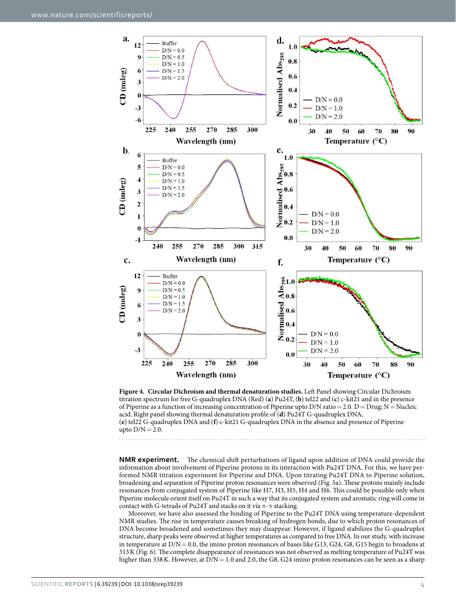

<span id="page-3-0"></span>**Figure 4. Circular Dichroism and thermal denaturation studies.** Left Panel showing Circular Dichroism titration spectrum for free G-quadruplex DNA (Red) (**a**) Pu24T, (**b**) tel22 and (**c**) c-kit21 and in the presence of Piperine as a function of increasing concentration of Piperine upto D/N ratio = 2.0. D = Drug; N = Nucleic acid. Right panel showing thermal denaturation profile of (**d**) Pu24T G-quadruplex DNA, (**e**) tel22 G-quadruplex DNA and (**f**) c-kit21 G-quadruplex DNA in the absence and presence of Piperine upto  $D/N = 2.0$ .

**NMR experiment.** The chemical shift perturbations of ligand upon addition of DNA could provide the information about involvement of Piperine protons in its interaction with Pu24T DNA. For this, we have performed NMR titration experiment for Piperine and DNA. Upon titrating Pu24T DNA to Piperine solution, broadening and separation of Piperine proton resonances were observed ([Fig. 5a](#page-4-0)). These protons mainly include resonances from conjugated system of Piperine like H7, H3, H5, H4 and H6. This could be possible only when Piperine molecule orient itself on Pu24T in such a way that its conjugated system and aromatic ring will come in contact with G-tetrads of Pu24T and stacks on it via  $\pi$ - $\pi$  stacking.

Moreover, we have also assessed the binding of Piperine to the Pu24T DNA using temperature-dependent NMR studies. The rise in temperature causes breaking of hydrogen bonds, due to which proton resonances of DNA become broadened and sometimes they may disappear. However, if ligand stabilizes the G-quadruplex structure, sharp peaks were observed at higher temperatures as compared to free DNA. In our study, with increase in temperature at  $D/N = 0.0$ , the imino proton resonances of bases like G13, G24, G8, G15 begin to broadens at 313 K ([Fig. 6](#page-4-1)). The complete disappearance of resonances was not observed as melting temperature of Pu24T was higher than 338 K. However, at  $D/N = 1.0$  and 2.0, the G8, G24 imino proton resonances can be seen as a sharp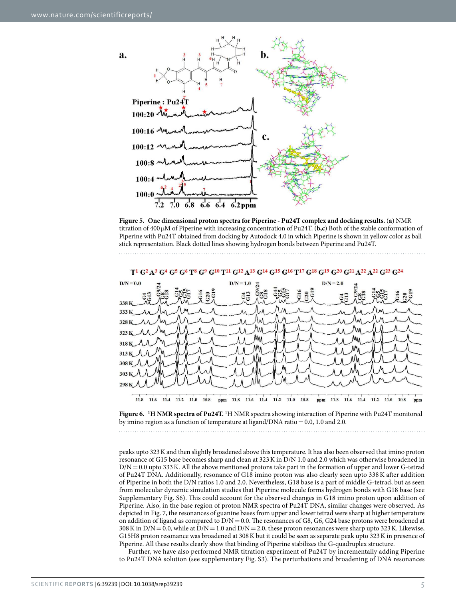

<span id="page-4-0"></span>**Figure 5. One dimensional proton spectra for Piperine - Pu24T complex and docking results.** (**a**) NMR titration of 400 µ M of Piperine with increasing concentration of Pu24T. (**b,c**) Both of the stable conformation of Piperine with Pu24T obtained from docking by Autodock 4.0 in which Piperine is shown in yellow color as ball stick representation. Black dotted lines showing hydrogen bonds between Piperine and Pu24T.



T<sup>1</sup> G<sup>2</sup> A<sup>3</sup> G<sup>4</sup> G<sup>5</sup> G<sup>6</sup> T<sup>8</sup> G<sup>9</sup> G<sup>10</sup> T<sup>11</sup> G<sup>12</sup> A<sup>13</sup> G<sup>14</sup> G<sup>15</sup> G<sup>16</sup> T<sup>17</sup> G<sup>18</sup> G<sup>19</sup> G<sup>20</sup> G<sup>21</sup> A<sup>22</sup> A<sup>22</sup> G<sup>23</sup>

<span id="page-4-1"></span>**Figure 6. <sup>1</sup>H NMR spectra of Pu24T.** <sup>1</sup>H NMR spectra showing interaction of Piperine with Pu24T monitored by imino region as a function of temperature at ligand/DNA ratio = 0.0, 1.0 and 2.0.

peaks upto 323 K and then slightly broadened above this temperature. It has also been observed that imino proton resonance of G15 base becomes sharp and clean at 323 K in D/N 1.0 and 2.0 which was otherwise broadened in  $D/N = 0.0$  upto 333 K. All the above mentioned protons take part in the formation of upper and lower G-tetrad of Pu24T DNA. Additionally, resonance of G18 imino proton was also clearly seen upto 338 K after addition of Piperine in both the D/N ratios 1.0 and 2.0. Nevertheless, G18 base is a part of middle G-tetrad, but as seen from molecular dynamic simulation studies that Piperine molecule forms hydrogen bonds with G18 base (see Supplementary Fig. S6). This could account for the observed changes in G18 imino proton upon addition of Piperine. Also, in the base region of proton NMR spectra of Pu24T DNA, similar changes were observed. As depicted in [Fig. 7,](#page-5-0) the resonances of guanine bases from upper and lower tetrad were sharp at higher temperature on addition of ligand as compared to  $D/N = 0.0$ . The resonances of G8, G6, G24 base protons were broadened at 308 K in  $D/N = 0.0$ , while at  $D/N = 1.0$  and  $D/N = 2.0$ , these proton resonances were sharp upto 323 K. Likewise, G15H8 proton resonance was broadened at 308 K but it could be seen as separate peak upto 323 K in presence of Piperine. All these results clearly show that binding of Piperine stabilizes the G-quadruplex structure.

Further, we have also performed NMR titration experiment of Pu24T by incrementally adding Piperine to Pu24T DNA solution (see supplementary Fig. S3). The perturbations and broadening of DNA resonances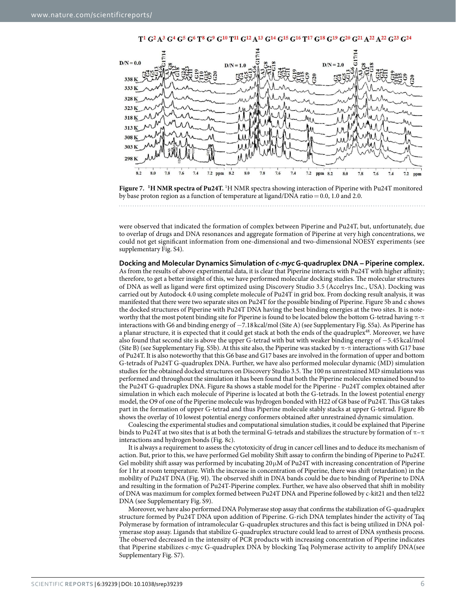

<span id="page-5-0"></span>**Figure 7. <sup>1</sup>H NMR spectra of Pu24T.** <sup>1</sup>H NMR spectra showing interaction of Piperine with Pu24T monitored by base proton region as a function of temperature at ligand/DNA ratio =  $0.0$ , 1.0 and 2.0.

were observed that indicated the formation of complex between Piperine and Pu24T, but, unfortunately, due to overlap of drugs and DNA resonances and aggregate formation of Piperine at very high concentrations, we could not get significant information from one-dimensional and two-dimensional NOESY experiments (see supplementary Fig. S4).

**Docking and Molecular Dynamics Simulation of** *c-myc* **G-quadruplex DNA – Piperine complex.**  As from the results of above experimental data, it is clear that Piperine interacts with Pu24T with higher affinity; therefore, to get a better insight of this, we have performed molecular docking studies. The molecular structures of DNA as well as ligand were first optimized using Discovery Studio 3.5 (Accelrys Inc., USA). Docking was carried out by Autodock 4.0 using complete molecule of Pu24T in grid box. From docking result analysis, it was manifested that there were two separate sites on Pu24T for the possible binding of Piperine. [Figure 5b and c](#page-4-0) shows the docked structures of Piperine with Pu24T DNA having the best binding energies at the two sites. It is noteworthy that the most potent binding site for Piperine is found to be located below the bottom G-tetrad having  $\pi$ - $\pi$ interactions with G6 and binding energy of − 7.18 kcal/mol (Site A) (see Supplementary Fig. S5a). As Piperine has a planar structure, it is expected that it could get stack at both the ends of the quadruplex<sup>[48](#page-10-25)</sup>. Moreover, we have also found that second site is above the upper G-tetrad with but with weaker binding energy of − 5.45 kcal/mol (Site B) (see Supplementary Fig. S5b). At this site also, the Piperine was stacked by  $\pi$ - $\pi$  interactions with G17 base of Pu24T. It is also noteworthy that this G6 base and G17 bases are involved in the formation of upper and bottom G-tetrads of Pu24T G-quadruplex DNA. Further, we have also performed molecular dynamic (MD) simulation studies for the obtained docked structures on Discovery Studio 3.5. The 100 ns unrestrained MD simulations was performed and throughout the simulation it has been found that both the Piperine molecules remained bound to the Pu24T G-quadruplex DNA. [Figure 8a](#page-6-0) shows a stable model for the Piperine - Pu24T complex obtained after simulation in which each molecule of Piperine is located at both the G-tetrads. In the lowest potential energy model, the O9 of one of the Piperine molecule was hydrogen bonded with H22 of G8 base of Pu24T. This G8 takes part in the formation of upper G-tetrad and thus Piperine molecule stably stacks at upper G-tetrad. [Figure 8b](#page-6-0) shows the overlay of 10 lowest potential energy conformers obtained after unrestrained dynamic simulation.

Coalescing the experimental studies and computational simulation studies, it could be explained that Piperine binds to Pu24T at two sites that is at both the terminal G-tetrads and stabilizes the structure by formation of  $\pi-\pi$ interactions and hydrogen bonds [\(Fig. 8c\)](#page-6-0).

It is always a requirement to assess the cytotoxicity of drug in cancer cell lines and to deduce its mechanism of action. But, prior to this, we have performed Gel mobility Shift assay to confirm the binding of Piperine to Pu24T. Gel mobility shift assay was performed by incubating  $20 \mu$ M of Pu24T with increasing concentration of Piperine for 1 hr at room temperature. With the increase in concentration of Piperine, there was shift (retardation) in the mobility of Pu24T DNA [\(Fig. 9I\)](#page-7-0). The observed shift in DNA bands could be due to binding of Piperine to DNA and resulting in the formation of Pu24T-Piperine complex. Further, we have also observed that shift in mobility of DNA was maximum for complex formed between Pu24T DNA and Piperine followed by c-kit21 and then tel22 DNA (see Supplementary Fig. S9).

Moreover, we have also performed DNA Polymerase stop assay that confirms the stabilization of G-quadruplex structure formed by Pu24T DNA upon addition of Piperine. G-rich DNA templates hinder the activity of Taq Polymerase by formation of intramolecular G-quadruplex structures and this fact is being utilized in DNA polymerase stop assay. Ligands that stabilize G-quadruplex structure could lead to arrest of DNA synthesis process. The observed decreased in the intensity of PCR products with increasing concentration of Piperine indicates that Piperine stabilizes c-myc G-quadruplex DNA by blocking Taq Polymerase activity to amplify DNA(see Supplementary Fig. S7).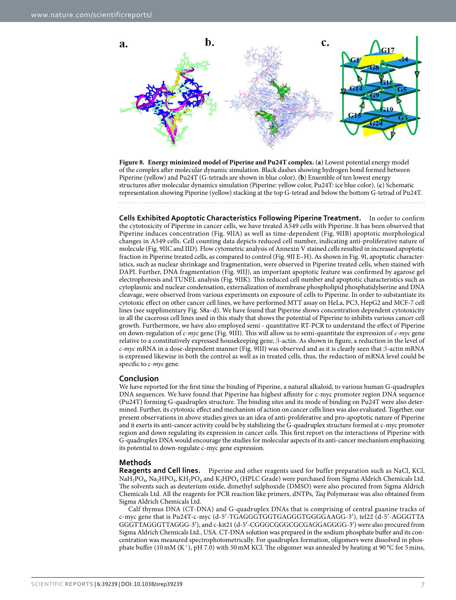

<span id="page-6-0"></span>**Figure 8. Energy minimized model of Piperine and Pu24T complex.** (**a**) Lowest potential energy model of the complex after molecular dynamic simulation. Black dashes showing hydrogen bond formed between Piperine (yellow) and Pu24T (G-tetrads are shown in blue color). (**b**) Ensemble of ten lowest energy structures after molecular dynamics simulation (Piperine: yellow color, Pu24T: ice blue color). (**c**) Schematic representation showing Piperine (yellow) stacking at the top G-tetrad and below the bottom G-tetrad of Pu24T.

**Cells Exhibited Apoptotic Characteristics Following Piperine Treatment.** In order to confirm the cytotoxicity of Piperine in cancer cells, we have treated A549 cells with Piperine. It has been observed that Piperine induces concentration ([Fig. 9IIA](#page-7-0)) as well as time-dependent ([Fig. 9IIB\)](#page-7-0) apoptotic morphological changes in A549 cells. Cell counting data depicts reduced cell number, indicating anti-proliferative nature of molecule [\(Fig. 9IIC](#page-7-0) and IID). Flow cytometric analysis of Annexin V stained cells resulted in increased apoptotic fraction in Piperine treated cells, as compared to control ([Fig. 9II E–H\)](#page-7-0). As shown in [Fig. 9I,](#page-7-0) apoptotic characteristics, such as nuclear shrinkage and fragmentation, were observed in Piperine treated cells, when stained with DAPI. Further, DNA fragmentation [\(Fig. 9IIJ](#page-7-0)), an important apoptotic feature was confirmed by agarose gel electrophoresis and TUNEL analysis ([Fig. 9IIK\)](#page-7-0). This reduced cell number and apoptotic characteristics such as cytoplasmic and nuclear condensation, externalization of membrane phospholipid phosphatidylserine and DNA cleavage, were observed from various experiments on exposure of cells to Piperine. In order to substantiate its cytotoxic effect on other cancer cell lines, we have performed MTT assay on HeLa, PC3, HepG2 and MCF-7 cell lines (see supplimentary Fig. S8a–d). We have found that Piperine shows concentration dependent cytotoxicity in all the cacerous cell lines used in this study that shows the potential of Piperine to inhibits various cancer cell growth. Furthermore, we have also employed semi - quantitative RT-PCR to understand the effect of Piperine on down-regulation of c-myc gene ([Fig. 9III\)](#page-7-0). This will allow us to semi-quantitate the expression of c-myc gene relative to a constitutively expressed housekeeping gene, β -actin. As shown in figure, a reduction in the level of  $c$ -myc mRNA in a dose-dependent manner ([Fig. 9III](#page-7-0)) was observed and as it is clearly seen that  $\beta$ -actin mRNA is expressed likewise in both the control as well as in treated cells, thus, the reduction of mRNA level could be specific to  $c$ -myc gene.

### **Conclusion**

We have reported for the first time the binding of Piperine, a natural alkaloid, to various human G-quadruplex DNA sequences. We have found that Piperine has highest affinity for c-myc promoter region DNA sequence (Pu24T) forming G-quadruplex structure. The binding sites and its mode of binding on Pu24T were also determined. Further, its cytotoxic effect and mechanism of action on cancer cells lines was also evaluated. Together, our present observations in above studies gives us an idea of anti-proliferative and pro-apoptotic nature of Piperine and it exerts its anti-cancer activity could be by stabilizing the G-quadruplex structure formed at c-myc promoter region and down regulating its expression in cancer cells. This first report on the interactions of Piperine with G-quadruplex DNA would encourage the studies for molecular aspects of its anti-cancer mechanism emphasizing its potential to down-regulate c-myc gene expression.

### **Methods**

**Reagents and Cell lines.** Piperine and other reagents used for buffer preparation such as NaCl, KCl,  $\text{NaH}_2\text{PO}_4$ ,  $\text{Na}_2\text{HPO}_4$ ,  $\text{KH}_2\text{PO}_4$  and  $\text{K}_2\text{HPO}_4$  (HPLC Grade) were purchased from Sigma Aldrich Chemicals Ltd. The solvents such as deuterium oxide, dimethyl sulphoxide (DMSO) were also procured from Sigma Aldrich Chemicals Ltd. All the reagents for PCR reaction like primers, dNTPs, Taq Polymerase was also obtained from Sigma Aldrich Chemicals Ltd.

Calf thymus DNA (CT-DNA) and G-quadruplex DNAs that is comprising of central guanine tracks of c-myc gene that is Pu24T-c-myc (d-5′-TGAGGGTGGTGAGGGTGGGGAAGG-3′ ), tel22 (d-5′ -AGGGTTA GGGTTAGGGTTAGGG-3′ ), and c-kit21 (d-5′ -CGGGCGGGCGCGAGGAGGGG-3′ ) were also procured from Sigma Aldrich Chemicals Ltd., USA. CT-DNA solution was prepared in the sodium phosphate buffer and its concentration was measured spectrophotometrically. For quadruplex formation, oligomers were dissolved in phosphate buffer (10 mM  $(K^+)$ , pH 7.0) with 50 mM KCl. The oligomer was annealed by heating at 90 °C for 5 mins,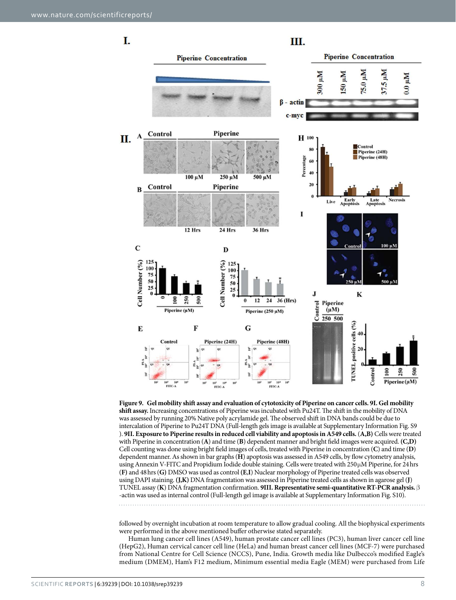I. Ш. **Piperine Concentration Piperine Concentration** 300 µM 37.5 µM Mu<sub>0.</sub>8/  $Mn$  0S  $Mn 0.0$ β - actin c-myc Control Piperine A  $\Pi$ . H 100  $\blacksquare$ Control Piperine (24H) Piperine (48H) Percentage 100 μM 500 μM 250 µM  $20$ Control Piperine  $\overline{\mathbf{B}}$ Early<br>Apoptosis Late<br>Apoptosis Live I 12 Hrs 24 Hrs **36 Hrs** 100 μM  $\mathbf C$ D  $12$ Cell Number (%) Cell Number (%) 125 10 100  $75$  $50$ 50  $\overline{2}$  $2<sup>4</sup>$  $\mathbf{J}$  $\bf K$  $250$  $\tilde{\mathsf{s}}$  $12$  $24$ 36 (Hrs) 500 Piperine Control  $(\mu M)$ Piperine (µM) Piperine (250 µM) 250 500 TUNEL positive cells (%) F E G Piperine (24H) Piperine (48H) Contro  $2($  $\tilde{r}_{a}$ 100 250 Control ន្ល Piperine (µM) 10 10<sup>3</sup> 10<sup>4</sup><br>FITC-A 10 10<sup>3</sup> 10<sup>3</sup><br>FTTC-A 10

<span id="page-7-0"></span>**Figure 9. Gel mobility shift assay and evaluation of cytotoxicity of Piperine on cancer cells. 9I. Gel mobility shift assay.** Increasing concentrations of Piperine was incubated with Pu24T. The shift in the mobility of DNA was assessed by running 20% Native poly acrylamide gel. The observed shift in DNA bands could be due to intercalation of Piperine to Pu24T DNA (Full-length gels image is available at Supplementary Information Fig. S9 ). **9II. Exposure to Piperine results in reduced cell viability and apoptosis in A549 cells.** (**A,B)** Cells were treated with Piperine in concentration (**A**) and time (**B**) dependent manner and bright field images were acquired. **(C,D)** Cell counting was done using bright field images of cells, treated with Piperine in concentration (**C**) and time (**D**) dependent manner. As shown in bar graphs (**H**) apoptosis was assessed in A549 cells, by flow cytometry analysis, using Annexin V-FITC and Propidium Iodide double staining. Cells were treated with 250 µM Piperine, for 24 hrs (**F)** and 48 hrs (**G)** DMSO was used as control **(E**,**I**) Nuclear morphology of Piperine treated cells was observed using DAPI staining. **(J,K)** DNA fragmentation was assessed in Piperine treated cells as shown in agarose gel (**J**) TUNEL assay (**K**) DNA fragmentation confirmation. **9III. Representative semi-quantitative RT-PCR analysis.** β -actin was used as internal control (Full-length gel image is available at Supplementary Information Fig. S10).

followed by overnight incubation at room temperature to allow gradual cooling. All the biophysical experiments were performed in the above mentioned buffer otherwise stated separately.

Human lung cancer cell lines (A549), human prostate cancer cell lines (PC3), human liver cancer cell line (HepG2), Human cervical cancer cell line (HeLa) and human breast cancer cell lines (MCF-7) were purchased from National Centre for Cell Science (NCCS), Pune, India. Growth media like Dulbecco's modified Eagle's medium (DMEM), Ham's F12 medium, Minimum essential media Eagle (MEM) were purchased from Life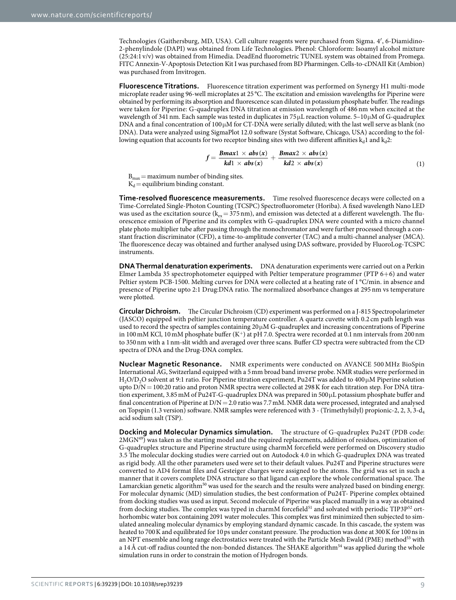Technologies (Gaithersburg, MD, USA). Cell culture reagents were purchased from Sigma. 4′ , 6-Diamidino-2-phenylindole (DAPI) was obtained from Life Technologies. Phenol: Chloroform: Isoamyl alcohol mixture (25:24:1 v/v) was obtained from Himedia. DeadEnd fluorometric TUNEL system was obtained from Promega. FITC Annexin-V-Apoptosis Detection Kit I was purchased from BD Pharmingen. Cells-to-cDNAII Kit (Ambion) was purchased from Invitrogen.

**Fluorescence Titrations.** Fluorescence titration experiment was performed on Synergy H1 multi-mode microplate reader using 96-well microplates at 25 °C. The excitation and emission wavelengths for Piperine were obtained by performing its absorption and fluorescence scan diluted in potassium phosphate buffer. The readings were taken for Piperine: G-quadruplex DNA titration at emission wavelength of 486 nm when excited at the wavelength of 341 nm. Each sample was tested in duplicates in 75  $\mu$ L reaction volume. 5–10 $\mu$ M of G-quadruplex DNA and a final concentration of  $100 \mu$ M for CT-DNA were serially diluted; with the last well serve as blank (no DNA). Data were analyzed using SigmaPlot 12.0 software (Systat Software, Chicago, USA) according to the following equation that accounts for two receptor binding sites with two different affinities  $k<sub>a</sub>1$  and  $k<sub>a</sub>2$ :

$$
f = \frac{Bmax1 \times abs(x)}{kd1 \times abs(x)} + \frac{Bmax2 \times abs(x)}{kd2 \times abs(x)}
$$
(1)

 $B_{\text{max}} =$  maximum number of binding sites.  $K_d$  = equilibrium binding constant.

**Time-resolved fluorescence measurements.** Time resolved fluorescence decays were collected on a Time-Correlated Single-Photon Counting (TCSPC) Spectrofluorometer (Horiba). A fixed wavelength Nano LED was used as the excitation source ( $k<sub>ev</sub> = 375$  nm), and emission was detected at a different wavelength. The fluorescence emission of Piperine and its complex with G-quadruplex DNA were counted with a micro channel plate photo multiplier tube after passing through the monochromator and were further processed through a constant fraction discriminator (CFD), a time-to-amplitude converter (TAC) and a multi-channel analyser (MCA). The fluorescence decay was obtained and further analysed using DAS software, provided by FluoroLog-TCSPC instruments.

**DNA Thermal denaturation experiments.** DNA denaturation experiments were carried out on a Perkin Elmer Lambda 35 spectrophotometer equipped with Peltier temperature programmer (PTP  $6+6$ ) and water Peltier system PCB-1500. Melting curves for DNA were collected at a heating rate of 1 °C/min. in absence and presence of Piperine upto 2:1 Drug:DNA ratio. The normalized absorbance changes at 295 nm vs temperature were plotted.

**Circular Dichroism.** The Circular Dichroism (CD) experiment was performed on a J-815 Spectropolarimeter (JASCO) equipped with peltier junction temperature controller. A quartz cuvette with 0.2 cm path length was used to record the spectra of samples containing 20  $\mu$ M G-quadruplex and increasing concentrations of Piperine in 100 mM KCl, 10 mM phosphate buffer (K<sup>+</sup>) at pH 7.0. Spectra were recorded at 0.1 nm intervals from 200 nm to 350 nm with a 1 nm-slit width and averaged over three scans. Buffer CD spectra were subtracted from the CD spectra of DNA and the Drug-DNA complex.

**Nuclear Magnetic Resonance.** NMR experiments were conducted on AVANCE 500 MHz BioSpin International AG, Switzerland equipped with a 5 mm broad band inverse probe. NMR studies were performed in H<sub>2</sub>O/D<sub>2</sub>O solvent at 9:1 ratio. For Piperine titration experiment, Pu24T was added to 400  $\mu$ M Piperine solution upto D/N = 100:20 ratio and proton NMR spectra were collected at 298 K for each titration step. For DNA titration experiment, 3.85 mM of Pu24T-G-quadruplex DNA was prepared in 500 µL potassium phosphate buffer and final concentration of Piperine at D/N = 2.0 ratio was 7.7 mM. NMR data were processed, integrated and analysed on Topspin (1.3 version) software. NMR samples were referenced with 3 - (Trimethylsilyl) propionic-2, 2, 3, 3-d<sub>4</sub> acid sodium salt (TSP).

**Docking and Molecular Dynamics simulation.** The structure of G-quadruplex Pu24T (PDB code: 2MGN<sup>[49](#page-10-26)</sup>) was taken as the starting model and the required replacements, addition of residues, optimization of G-quadruplex structure and Piperine structure using charmM forcefield were performed on Discovery studio 3.5 The molecular docking studies were carried out on Autodock 4.0 in which G-quadruplex DNA was treated as rigid body. All the other parameters used were set to their default values. Pu24T and Piperine structures were converted to AD4 format files and Gesteiger charges were assigned to the atoms. The grid was set in such a manner that it covers complete DNA structure so that ligand can explore the whole conformational space. The Lamarckian genetic algorithm<sup>[50](#page-10-27)</sup> was used for the search and the results were analyzed based on binding energy. For molecular dynamic (MD) simulation studies, the best conformation of Pu24T- Piperine complex obtained from docking studies was used as input. Second molecule of Piperine was placed manually in a way as obtained from docking studies. The complex was typed in charmM forcefield<sup>[51](#page-10-28)</sup> and solvated with periodic TIP3P<sup>[52](#page-10-29)</sup> orthorhombic water box containing 2091 water molecules. This complex was first minimized then subjected to simulated annealing molecular dynamics by employing standard dynamic cascade. In this cascade, the system was heated to 700 K and equilibrated for 10 ps under constant pressure. The production was done at 300 K for 100 ns in an NPT ensemble and long range electrostatics were treated with the Particle Mesh Ewald (PME) method<sup>[53](#page-10-30)</sup> with a 14 Å cut-off radius counted the non-bonded distances. The SHAKE algorithm<sup>[54](#page-10-31)</sup> was applied during the whole simulation runs in order to constrain the motion of Hydrogen bonds.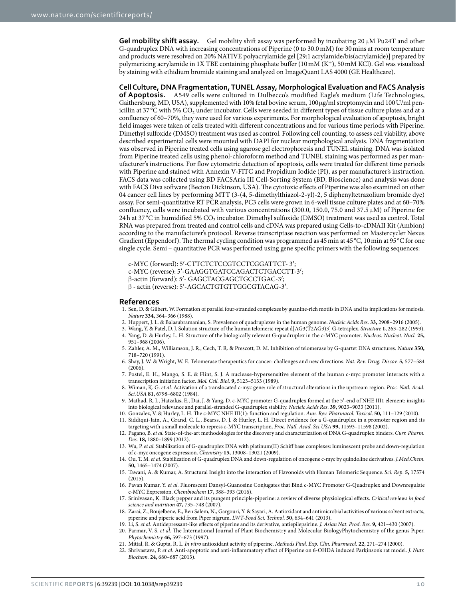**Gel mobility shift assay.** Gel mobility shift assay was performed by incubating  $20 \mu M$  Pu24T and other G-quadruplex DNA with increasing concentrations of Piperine (0 to 30.0 mM) for 30 mins at room temperature and products were resolved on 20% NATIVE polyacrylamide gel [29:1 acrylamide/bis(acrylamide)] prepared by polymerizing acrylamide in 1X TBE containing phosphate buffer (10 mM (K<sup>+</sup>), 50 mM KCl). Gel was visualized by staining with ethidium bromide staining and analyzed on ImageQuant LAS 4000 (GE Healthcare).

**Cell Culture, DNA Fragmentation, TUNEL Assay, Morphological Evaluation and FACS Analysis of Apoptosis.** A549 cells were cultured in Dulbecco's modified Eagle's medium (Life Technologies, Gaithersburg, MD, USA), supplemented with 10% fetal bovine serum, 100 µg/ml streptomycin and 100 U/ml penicillin at 37 °C with 5%  $CO_2$  under incubator. Cells were seeded in different types of tissue culture plates and at a confluency of 60–70%, they were used for various experiments. For morphological evaluation of apoptosis, bright field images were taken of cells treated with different concentrations and for various time periods with Piperine. Dimethyl sulfoxide (DMSO) treatment was used as control. Following cell counting, to assess cell viability, above described experimental cells were mounted with DAPI for nuclear morphological analysis. DNA fragmentation was observed in Piperine treated cells using agarose gel electrophoresis and TUNEL staining. DNA was isolated from Piperine treated cells using phenol-chloroform method and TUNEL staining was performed as per manufacturer's instructions. For flow cytometric detection of apoptosis, cells were treated for different time periods with Piperine and stained with Annexin V-FITC and Propidium Iodide (PI), as per manufacturer's instruction. FACS data was collected using BD FACSAria III Cell-Sorting System (BD, Bioscience) and analysis was done with FACS Diva software (Becton Dickinson, USA). The cytotoxic effects of Piperine was also examined on other 04 cancer cell lines by performing MTT (3-(4, 5-dimethylthiazol-2-yl)-2, 5 diphenyltetrazolium bromide dye) assay. For semi-quantitative RT PCR analysis, PC3 cells were grown in 6-well tissue culture plates and at 60–70% confluency, cells were incubated with various concentrations (300.0, 150.0, 75.0 and 37.5  $\mu$ M) of Piperine for 24h at 37 °C in humidified 5% CO<sub>2</sub> incubator. Dimethyl sulfoxide (DMSO) treatment was used as control. Total RNA was prepared from treated and control cells and cDNA was prepared using Cells-to-cDNAII Kit (Ambion) according to the manufacturer's protocol. Reverse transcriptase reaction was performed on Mastercycler Nexus Gradient (Eppendorf). The thermal cycling condition was programmed as 45 min at 45 °C, 10 min at 95 °C for one single cycle. Semi – quantitative PCR was performed using gene specific primers with the following sequences:

c-MYC (forward): 5′ -CTTCTCTCCGTCCTCGGATTCT- 3′ ;

c-MYC (reverse): 5′ -GAAGGTGATCCAGACTCTGACCTT-3′ ;

- β -actin (forward): 5′ GAGCTACGAGCTGCCTGAC-3′ ;
- β actin (reverse): 5′ -AGCACTGTGTTGGCGTACAG-3′ .

#### **References**

- <span id="page-9-0"></span>1. Sen, D. & Gilbert, W. Formation of parallel four-stranded complexes by guanine-rich motifs in DNA and its implications for meiosis. Nature **334,** 364–366 (1988).
- <span id="page-9-1"></span>2. Huppert, J. L. & Balasubramanian, S. Prevalence of quadruplexes in the human genome. Nucleic Acids Res. **33,** 2908–2916 (2005).
- <span id="page-9-2"></span>3. Wang, Y. & Patel, D. J. Solution structure of the human telomeric repeat d[AG3(T2AG3)3] G-tetraplex. Structure **1,** 263–282 (1993).
- <span id="page-9-3"></span>4. Yang, D. & Hurley, L. H. Structure of the biologically relevant G-quadruplex in the c-MYC promoter. Nucleos. Nucleot. Nucl. **25,** 951–968 (2006).
- <span id="page-9-4"></span>5. Zahler, A. M., Williamson, J. R., Cech, T. R. & Prescott, D. M. Inhibition of telomerase by G-quartet DNA structures. Nature **350,** 718–720 (1991).
- <span id="page-9-5"></span>6. Shay, J. W. & Wright, W. E. Telomerase therapeutics for cancer: challenges and new directions. Nat. Rev. Drug. Discov. **5,** 577–584  $(2006)$
- <span id="page-9-6"></span>7. Postel, E. H., Mango, S. E. & Flint, S. J. A nuclease-hypersensitive element of the human c-myc promoter interacts with a transcription initiation factor. Mol. Cell. Biol. **9,** 5123–5133 (1989).
- <span id="page-9-7"></span>8. Wiman, K. G. et al. Activation of a translocated c-myc gene: role of structural alterations in the upstream region. Proc. Natl. Acad. Sci.USA **81,** 6798–6802 (1984).
- <span id="page-9-8"></span>9. Mathad, R. I., Hatzakis, E., Dai, J. & Yang, D. c-MYC promoter G-quadruplex formed at the 5′ -end of NHE III1 element: insights into biological relevance and parallel-stranded G-quadruplex stability. Nucleic Acids Res. **39,** 9023–9033 (2011).
- <span id="page-9-9"></span>10. Gonzalez, V. & Hurley, L. H. The c-MYC NHE III(1): function and regulation. Ann. Rev. Pharmacol. Toxicol. **50,** 111–129 (2010).
- <span id="page-9-10"></span>11. Siddiqui-Jain, A., Grand, C. L., Bearss, D. J. & Hurley, L. H. Direct evidence for a G-quadruplex in a promoter region and its targeting with a small molecule to repress c-MYC transcription. Proc. Natl. Acad. Sci.USA **99,** 11593–11598 (2002).
- <span id="page-9-19"></span>12. Pagano, B. et al. State-of-the-art methodologies for the discovery and characterization of DNA G-quadruplex binders. Curr. Pharm. Des. **18,** 1880–1899 (2012).
- 13. Wu, P. et al. Stabilization of G-quadruplex DNA with platinum(II) Schiff base complexes: luminescent probe and down-regulation of c-myc oncogene expression. Chemistry **15,** 13008–13021 (2009).
- 14. Ou, T. M. et al. Stabilization of G-quadruplex DNA and down-regulation of oncogene c-myc by quindoline derivatives. J.Med.Chem. **50,** 1465–1474 (2007).
- <span id="page-9-11"></span>15. Tawani, A. & Kumar, A. Structural Insight into the interaction of Flavonoids with Human Telomeric Sequence. Sci. Rep. **5,** 17574 (2015).
- <span id="page-9-12"></span>16. Pavan Kumar, Y. et al. Fluorescent Dansyl-Guanosine Conjugates that Bind c-MYC Promoter G-Quadruplex and Downregulate c-MYC Expression. Chembiochem **17,** 388–393 (2016).
- <span id="page-9-13"></span>17. Srinivasan, K. Black pepper and its pungent principle-piperine: a review of diverse physiological effects. Critical reviews in food science and nutrition **47,** 735–748 (2007).
- <span id="page-9-14"></span>18. Zarai, Z., Boujelbene, E., Ben Salem, N., Gargouri, Y. & Sayari, A. Antioxidant and antimicrobial activities of various solvent extracts, piperine and piperic acid from Piper nigrum. LWT-Food Sci. Technol. **50,** 634–641 (2013).
- <span id="page-9-16"></span><span id="page-9-15"></span>19. Li, S. et al. Antidepressant-like effects of piperine and its derivative, antiepilepsirine. J. Asian Nat. Prod. Res. **9,** 421–430 (2007). 20. Parmar, V. S. et al. The International Journal of Plant Biochemistry and Molecular BiologyPhytochemistry of the genus Piper.
- Phytochemistry **46,** 597–673 (1997). 21. Mittal, R. & Gupta, R. L. In vitro antioxidant activity of piperine. Methods Find. Exp. Clin. Pharmacol. **22,** 271–274 (2000).
- <span id="page-9-18"></span><span id="page-9-17"></span>22. Shrivastava, P. et al. Anti-apoptotic and anti-inflammatory effect of Piperine on 6-OHDA induced Parkinson's rat model. J. Nutr. Biochem. **24,** 680–687 (2013).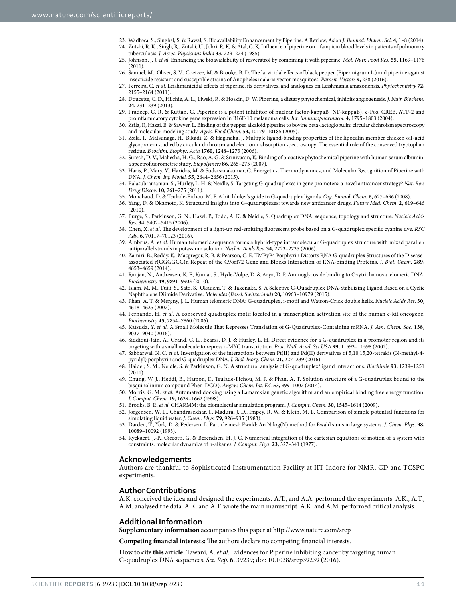- <span id="page-10-0"></span>23. Wadhwa, S., Singhal, S. & Rawal, S. Bioavailability Enhancement by Piperine: A Review, Asian J. Biomed. Pharm. Sci. **4,** 1–8 (2014).
- <span id="page-10-1"></span>24. Zutshi, R. K., Singh, R., Zutshi, U., Johri, R. K. & Atal, C. K. Influence of piperine on rifampicin blood levels in patients of pulmonary tuberculosis. J. Assoc. Physicians India **33,** 223–224 (1985).
- <span id="page-10-2"></span>25. Johnson, J. J. et al. Enhancing the bioavailability of resveratrol by combining it with piperine. Mol. Nutr. Food Res. **55,** 1169–1176 (2011).
- <span id="page-10-3"></span>26. Samuel, M., Oliver, S. V., Coetzee, M. & Brooke, B. D. The larvicidal effects of black pepper (Piper nigrum L.) and piperine against insecticide resistant and susceptible strains of Anopheles malaria vector mosquitoes. Parasit. Vectors **9,** 238 (2016).
- <span id="page-10-4"></span>27. Ferreira, C. et al. Leishmanicidal effects of piperine, its derivatives, and analogues on Leishmania amazonensis. Phytochemistry **72,** 2155–2164 (2011).
- <span id="page-10-5"></span>28. Doucette, C. D., Hilchie, A. L., Liwski, R. & Hoskin, D. W. Piperine, a dietary phytochemical, inhibits angiogenesis. J. Nutr. Biochem. **24,** 231–239 (2013).
- <span id="page-10-6"></span>29. Pradeep, C. R. & Kuttan, G. Piperine is a potent inhibitor of nuclear factor-kappaB (NF-kappaB), c-Fos, CREB, ATF-2 and proinflammatory cytokine gene expression in B16F-10 melanoma cells. Int. Immunopharmacol. **4,** 1795–1803 (2004).
- <span id="page-10-7"></span>30. Zsila, F., Hazai, E. & Sawyer, L. Binding of the pepper alkaloid piperine to bovine beta-lactoglobulin: circular dichroism spectroscopy and molecular modeling study. Agric. Food Chem. **53,** 10179–10185 (2005).
- <span id="page-10-8"></span>31. Zsila, F., Matsunaga, H., Bikádi, Z. & Haginaka, J. Multiple ligand-binding properties of the lipocalin member chicken α 1-acid glycoprotein studied by circular dichroism and electronic absorption spectroscopy: The essential role of the conserved tryptophan residue. B iochim. Biophys. Acta **1760,** 1248–1273 (2006).
- <span id="page-10-9"></span>32. Suresh, D. V., Mahesha, H. G., Rao, A. G. & Srinivasan, K. Binding of bioactive phytochemical piperine with human serum albumin: a spectrofluorometric study. Biopolymers **86,** 265–275 (2007).
- <span id="page-10-10"></span>33. Haris, P., Mary, V., Haridas, M. & Sudarsanakumar, C. Energetics, Thermodynamics, and Molecular Recognition of Piperine with DNA. J. Chem. Inf. Model. **55,** 2644–2656 (2015).
- <span id="page-10-11"></span>34. Balasubramanian, S., Hurley, L. H. & Neidle, S. Targeting G-quadruplexes in gene promoters: a novel anticancer strategy? Nat. Rev. Drug Discov. **10,** 261–275 (2011).
- <span id="page-10-12"></span>35. Monchaud, D. & Teulade-Fichou, M. P. A hitchhiker's guide to G-quadruplex ligands. Org. Biomol. Chem. **6,** 627–636 (2008).
- <span id="page-10-13"></span>36. Yang, D. & Okamoto, K. Structural insights into G-quadruplexes: towards new anticancer drugs. Future Med. Chem. **2,** 619–646 (2010).
- <span id="page-10-14"></span>37. Burge, S., Parkinson, G. N., Hazel, P., Todd, A. K. & Neidle, S. Quadruplex DNA: sequence, topology and structure. Nucleic Acids Res. **34,** 5402–5415 (2006).
- <span id="page-10-15"></span>38. Chen, X. et al. The development of a light-up red-emitting fluorescent probe based on a G-quadruplex specific cyanine dye. RSC Adv. **6,** 70117–70123 (2016).
- <span id="page-10-16"></span>39. Ambrus, A. et al. Human telomeric sequence forms a hybrid-type intramolecular G-quadruplex structure with mixed parallel/ antiparallel strands in potassium solution. Nucleic Acids Res. **34,** 2723–2735 (2006).
- <span id="page-10-17"></span>40. Zamiri, B., Reddy, K., Macgregor, R. B. & Pearson, C. E. TMPyP4 Porphyrin Distorts RNA G-quadruplex Structures of the Diseaseassociated r(GGGGCC)n Repeat of the C9orf72 Gene and Blocks Interaction of RNA-binding Proteins. J. Biol. Chem. **289,** 4653–4659 (2014).
- <span id="page-10-18"></span>41. Ranjan, N., Andreasen, K. F., Kumar, S., Hyde-Volpe, D. & Arya, D. P. Aminoglycoside binding to Oxytricha nova telomeric DNA. Biochemistry **49,** 9891–9903 (2010).
- <span id="page-10-19"></span>42. Islam, M. M., Fujii, S., Sato, S., Okauchi, T. & Takenaka, S. A Selective G-Quadruplex DNA-Stabilizing Ligand Based on a Cyclic Naphthalene Diimide Derivative. Molecules (Basel, Switzerland) **20,** 10963–10979 (2015).
- <span id="page-10-20"></span>43. Phan, A. T. & Mergny, J. L. Human telomeric DNA: G-quadruplex, i-motif and Watson-Crick double helix. Nucleic Acids Res. **30,** 4618–4625 (2002).
- <span id="page-10-21"></span>44. Fernando, H. et al. A conserved quadruplex motif located in a transcription activation site of the human c-kit oncogene. Biochemistry **45,** 7854–7860 (2006).
- <span id="page-10-22"></span>45. Katsuda, Y. et al. A Small Molecule That Represses Translation of G-Quadruplex-Containing mRNA. J. Am. Chem. Soc. **138,** 9037–9040 (2016).
- <span id="page-10-23"></span>46. Siddiqui-Jain, A., Grand, C. L., Bearss, D. J. & Hurley, L. H. Direct evidence for a G-quadruplex in a promoter region and its targeting with a small molecule to repress c-MYC transcription. Proc. Natl. Acad. Sci.USA **99,** 11593–11598 (2002).
- <span id="page-10-24"></span>47. Sabharwal, N. C. et al. Investigation of the interactions between Pt(II) and Pd(II) derivatives of 5,10,15,20-tetrakis (N-methyl-4pyridyl) porphyrin and G-quadruplex DNA. J. Biol. Inorg. Chem. **21,** 227–239 (2016).
- <span id="page-10-25"></span>48. Haider, S. M., Neidle, S. & Parkinson, G. N. A structural analysis of G-quadruplex/ligand interactions. Biochimie **93,** 1239–1251 (2011).
- <span id="page-10-26"></span>49. Chung, W. J., Heddi, B., Hamon, F., Teulade-Fichou, M. P. & Phan, A. T. Solution structure of a G-quadruplex bound to the bisquinolinium compound Phen-DC(3). Angew. Chem. Int. Ed. **53,** 999–1002 (2014).
- <span id="page-10-27"></span>50. Morris, G. M. et al. Automated docking using a Lamarckian genetic algorithm and an empirical binding free energy function. J. Comput. Chem. **19,** 1639–1662 (1998).
- <span id="page-10-28"></span>51. Brooks, B. R. et al. CHARMM: the biomolecular simulation program. J. Comput. Chem. **30,** 1545–1614 (2009).
- <span id="page-10-29"></span>52. Jorgensen, W. L., Chandrasekhar, J., Madura, J. D., Impey, R. W. & Klein, M. L. Comparison of simple potential functions for simulating liquid water. J. Chem. Phys. **79,** 926–935 (1983).
- <span id="page-10-30"></span>53. Darden, T., York, D. & Pedersen, L. Particle mesh Ewald: An N⋅ log(N) method for Ewald sums in large systems. J. Chem. Phys. **98,** 10089–10092 (1993).
- <span id="page-10-31"></span>54. Ryckaert, J.-P., Ciccotti, G. & Berendsen, H. J. C. Numerical integration of the cartesian equations of motion of a system with constraints: molecular dynamics of n-alkanes. J. Comput. Phys. **23,** 327–341 (1977).

### **Acknowledgements**

Authors are thankful to Sophisticated Instrumentation Facility at IIT Indore for NMR, CD and TCSPC experiments.

#### **Author Contributions**

A.K. conceived the idea and designed the experiments. A.T., and A.A. performed the experiments. A.K., A.T., A.M. analysed the data. A.K. and A.T. wrote the main manuscript. A.K. and A.M. performed critical analysis.

### **Additional Information**

**Supplementary information** accompanies this paper at <http://www.nature.com/srep>

**Competing financial interests:** The authors declare no competing financial interests.

How to cite this article: Tawani, A. et al. Evidences for Piperine inhibiting cancer by targeting human G-quadruplex DNA sequences. Sci. Rep. **6**, 39239; doi: 10.1038/srep39239 (2016).